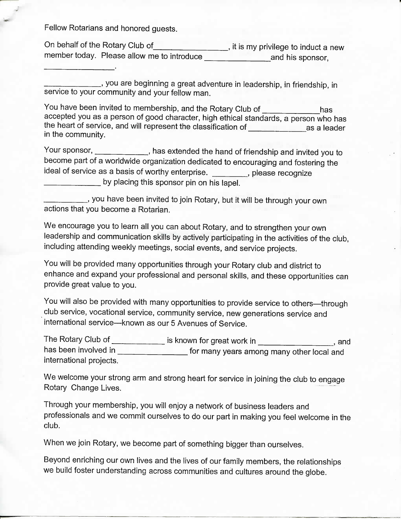Fellow Rotarians and honored guests.

 $\omega$ 

On behalf of the Rotary Club of , it is my privilege to induct a new member today. Please allow me to introduce and his sponsor,

you are beginning a great adventure in leadership, in friendship, in service to your community and your fellow man.

You have been invited to membership, and the Rotary Club of \_\_\_\_\_\_\_\_\_\_\_\_has accepted you as a person of good character, high ethical standards, a person who has the heart of service, and will represent the classification of as a leader in the community.

Your sponsor, has extended the hand of friendship and invited you to become part of a worldwide organization dedicated to encouraging and fostering the ideal of service as a basis of worthy enterprise. \_\_\_\_\_\_\_\_, please recognize **by placing this sponsor pin on his lapel.** 

you have been invited to join Rotary, but it will be through your own actions that you become a Rotarian.

We encourage you to learn all you can about Rotary, and to strengthen your own leadership and communication skills by actively participating in the activities of the club, including attending weekly meetings, social events, and service projects.

You will be provided many opportunities through your Rotary club and district to enhance and expand your professional and personal skills, and these opportunities can provide great value to you.

You will also be provided with many opportunities to provide service to others—through club service, vocational service, community service, new generations service and international service—known as our 5 Avenues of Service.

The Rotary Club of **interest in the Rotary Club** of **interest in** same is known for great work in  $\frac{1}{\sqrt{1-\frac{1}{n}}}\cos\theta$ , and has been involved in \_\_\_\_\_\_\_\_\_\_\_\_\_\_\_\_\_\_\_\_ for many years among many other local and international projects.

We welcome your strong arm and strong heart for service in joining the club to engage Rotary Change Lives.

Through your membership, you will enjoy a network of business leaders and professionals and we commit ourselves to do our part in making you feel welcome in the club.

When we join Rotary, we become part of something bigger than ourselves.

Beyond enriching our own lives and the lives of our family members, the relationships we build foster understanding across communities and cultures around the globe.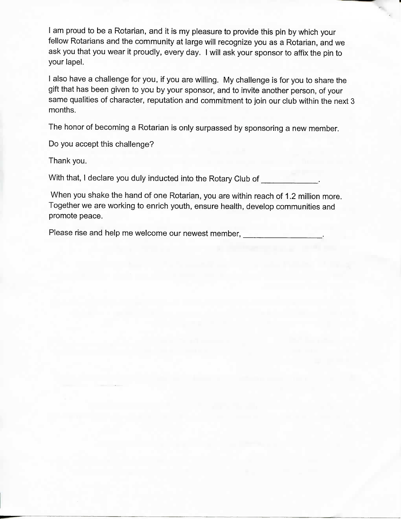I am proud to be a Rotarian, and it is my pleasure to provide this pin by which your fellow Rotarians and the community at large will recognize you as a Rotarian, and we ask you that you wear it proudly, every day. I will ask your sponsor to affix the pin to your lapel.

I also have a challenge for you, if you are willing. My challenge is for you to share the gift that has been given to you by your sponsor, and to invite another person, of your same qualities of character, reputation and commitment to join our club within the next 3 months.

The honor of becoming a Rotarian is only surpassed by sponsoring a new member.

Do you accept this challenge?

Thank you.

With that, I declare you duly inducted into the Rotary Club of

When you shake the hand of one Rotarian, you are within reach of 1.2 million more. Together we are working to enrich youth, ensure health, develop communities and promote peace.

Please rise and help me welcome our newest member,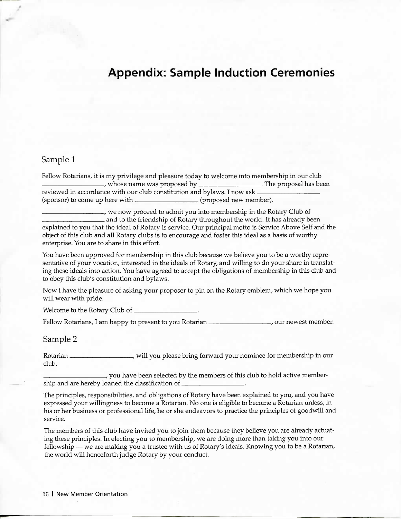## **Appendix: Sample Induction Ceremonies**

## Sample 1

Fellow Rotarians, it is my privilege and pleasure today to welcome into membership in our club , whose name was proposed by \_\_\_\_\_\_\_\_\_\_\_\_\_\_\_. The proposal has been reviewed in accordance with our club constitution and bylaws. I now ask (sponsor) to come up here with  $\sqrt{p}$  (proposed new member).

, we now proceed to admit you into membership in the Rotary Club of and to the friendship of Rotary throughout the world. It has already been explained to you that the ideal of Rotary is service. Our principal motto is Service Above Self and the object of this club and all Rotary clubs is to encourage and foster this ideal as a basis of worthy enterprise. You are to share in this effort.

You have been approved for membership in this club because we believe you to be a worthy representative of your vocation, interested in the ideals of Rotary, and willing to do your share in translating these ideals into action. You have agreed to accept the obligations of membership in this club and to obey this club's constitution and bylaws.

Now I have the pleasure of asking your proposer to pin on the Rotary emblem, which we hope you will wear with pride.

Welcome to the Rotary Club of

Fellow Rotarians, I am happy to present to you Rotarian \_\_\_\_\_\_\_\_\_\_\_\_\_\_\_\_\_\_, our newest member.

Sample 2

Rotarian **, will you please bring forward your nominee for membership in our** club.

you have been selected by the members of this club to hold active membership and are hereby loaned the classification of

The principles, responsibilities, and obligations of Rotary have been explained to you, and you have expressed your willingness to become a Rotarian. No one is eligible to become a Rotarian unless, in his or her business or professional life, he or she endeavors to practice the principles of goodwill and service.

The members of this club have invited you to join them because they believe you are already actuating these principles. In electing you to membership, we are doing more than taking you into our fellowship — we are making you a trustee with us of Rotary's ideals. Knowing you to be a Rotarian, the world will henceforth judge Rotary by your conduct.